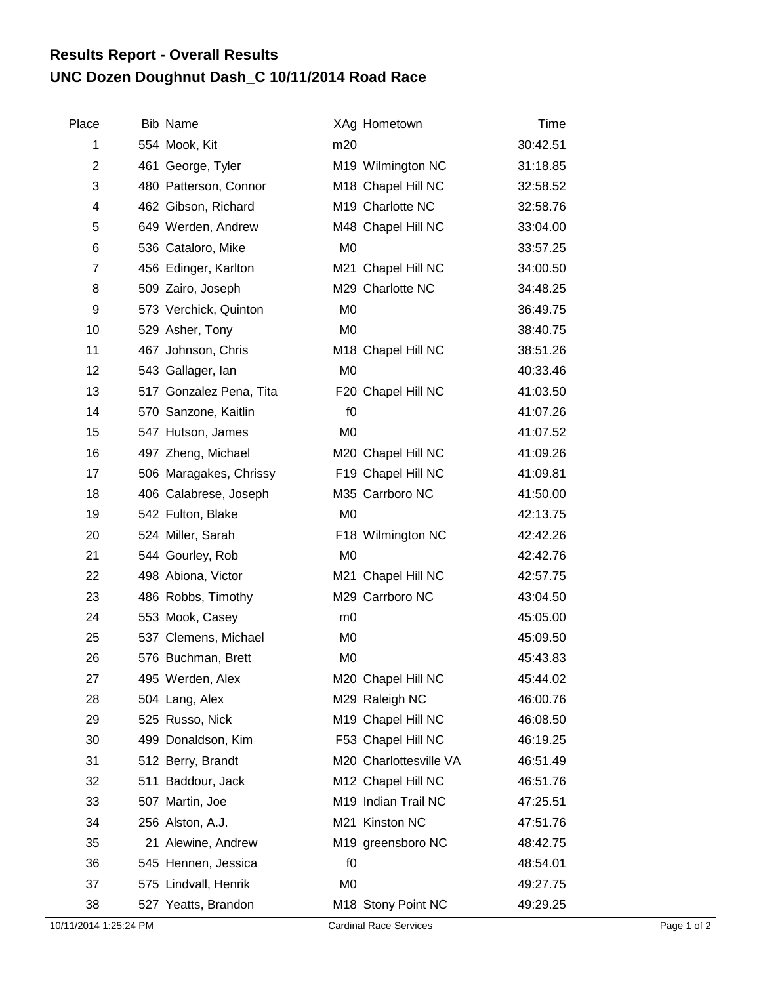## **UNC Dozen Doughnut Dash\_C 10/11/2014 Road Race Results Report - Overall Results**

| Place          | <b>Bib Name</b>         |                | XAg Hometown           | Time     |
|----------------|-------------------------|----------------|------------------------|----------|
| 1              | 554 Mook, Kit           | m20            |                        | 30:42.51 |
| 2              | 461 George, Tyler       |                | M19 Wilmington NC      | 31:18.85 |
| 3              | 480 Patterson, Connor   |                | M18 Chapel Hill NC     | 32:58.52 |
| 4              | 462 Gibson, Richard     |                | M19 Charlotte NC       | 32:58.76 |
| 5              | 649 Werden, Andrew      |                | M48 Chapel Hill NC     | 33:04.00 |
| 6              | 536 Cataloro, Mike      | M <sub>0</sub> |                        | 33:57.25 |
| $\overline{7}$ | 456 Edinger, Karlton    |                | M21 Chapel Hill NC     | 34:00.50 |
| 8              | 509 Zairo, Joseph       |                | M29 Charlotte NC       | 34:48.25 |
| 9              | 573 Verchick, Quinton   | M <sub>0</sub> |                        | 36:49.75 |
| 10             | 529 Asher, Tony         | M <sub>0</sub> |                        | 38:40.75 |
| 11             | 467 Johnson, Chris      |                | M18 Chapel Hill NC     | 38:51.26 |
| 12             | 543 Gallager, Ian       | M <sub>0</sub> |                        | 40:33.46 |
| 13             | 517 Gonzalez Pena, Tita |                | F20 Chapel Hill NC     | 41:03.50 |
| 14             | 570 Sanzone, Kaitlin    | f <sub>0</sub> |                        | 41:07.26 |
| 15             | 547 Hutson, James       | M <sub>0</sub> |                        | 41:07.52 |
| 16             | 497 Zheng, Michael      |                | M20 Chapel Hill NC     | 41:09.26 |
| 17             | 506 Maragakes, Chrissy  |                | F19 Chapel Hill NC     | 41:09.81 |
| 18             | 406 Calabrese, Joseph   |                | M35 Carrboro NC        | 41:50.00 |
| 19             | 542 Fulton, Blake       | M <sub>0</sub> |                        | 42:13.75 |
| 20             | 524 Miller, Sarah       |                | F18 Wilmington NC      | 42:42.26 |
| 21             | 544 Gourley, Rob        | M <sub>0</sub> |                        | 42:42.76 |
| 22             | 498 Abiona, Victor      |                | M21 Chapel Hill NC     | 42:57.75 |
| 23             | 486 Robbs, Timothy      |                | M29 Carrboro NC        | 43:04.50 |
| 24             | 553 Mook, Casey         | m <sub>0</sub> |                        | 45:05.00 |
| 25             | 537 Clemens, Michael    | M <sub>0</sub> |                        | 45:09.50 |
| 26             | 576 Buchman, Brett      | M <sub>0</sub> |                        | 45:43.83 |
| 27             | 495 Werden, Alex        |                | M20 Chapel Hill NC     | 45:44.02 |
| 28             | 504 Lang, Alex          |                | M29 Raleigh NC         | 46:00.76 |
| 29             | 525 Russo, Nick         |                | M19 Chapel Hill NC     | 46:08.50 |
| 30             | 499 Donaldson, Kim      |                | F53 Chapel Hill NC     | 46:19.25 |
| 31             | 512 Berry, Brandt       |                | M20 Charlottesville VA | 46:51.49 |
| 32             | 511 Baddour, Jack       |                | M12 Chapel Hill NC     | 46:51.76 |
| 33             | 507 Martin, Joe         |                | M19 Indian Trail NC    | 47:25.51 |
| 34             | 256 Alston, A.J.        |                | M21 Kinston NC         | 47:51.76 |
| 35             | 21 Alewine, Andrew      |                | M19 greensboro NC      | 48:42.75 |
| 36             | 545 Hennen, Jessica     | f <sub>0</sub> |                        | 48:54.01 |
| 37             | 575 Lindvall, Henrik    | M <sub>0</sub> |                        | 49:27.75 |
| 38             | 527 Yeatts, Brandon     |                | M18 Stony Point NC     | 49:29.25 |